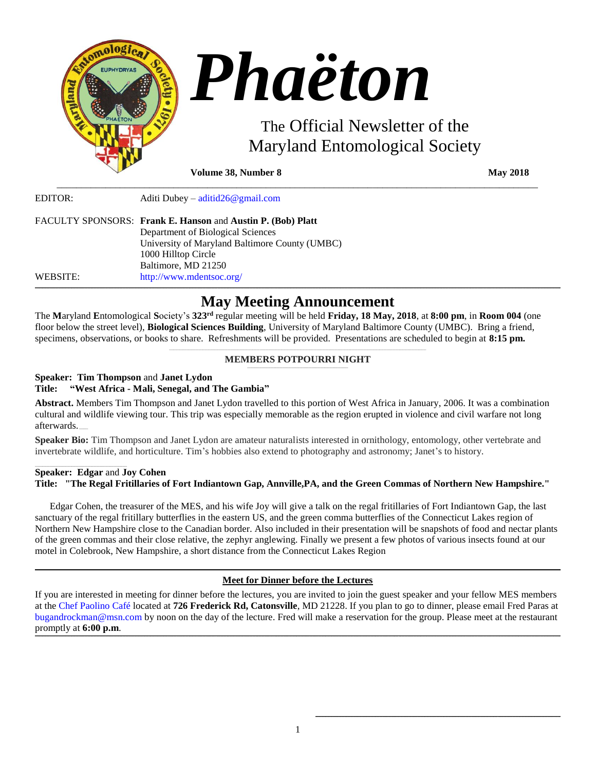

**Volume 38, Number 8 May 2018** 

EDITOR: Aditi Dubey – [aditid26@gmail.com](mailto:aditid26@gmail.com)

|          | FACULTY SPONSORS: Frank E. Hanson and Austin P. (Bob) Platt |
|----------|-------------------------------------------------------------|
|          | Department of Biological Sciences                           |
|          | University of Maryland Baltimore County (UMBC)              |
|          | 1000 Hilltop Circle                                         |
|          | Baltimore, MD 21250                                         |
| WEBSITE: | http://www.mdentsoc.org/                                    |

# **\_\_\_\_\_\_\_\_\_\_\_\_\_\_\_\_\_\_\_\_\_\_\_\_\_\_\_\_\_\_\_\_\_\_\_\_\_\_\_\_\_\_\_\_\_\_\_\_\_\_\_\_\_\_\_\_\_\_\_\_\_\_\_\_\_\_\_\_\_\_\_\_\_\_\_\_\_\_\_\_\_\_\_\_\_\_\_\_\_\_\_\_\_\_\_\_\_\_\_\_\_\_\_\_\_\_\_\_\_\_\_\_\_\_\_\_\_\_\_\_\_\_\_\_\_\_\_\_\_\_\_\_\_\_\_\_\_\_\_\_\_\_\_\_\_\_\_\_\_\_\_\_\_\_\_\_\_\_\_\_\_\_\_\_\_\_\_\_\_\_\_\_\_\_\_\_\_\_\_\_\_\_\_\_\_\_\_\_\_\_\_\_\_\_\_\_\_\_\_\_\_\_\_\_\_\_\_\_\_\_\_\_\_\_\_\_\_\_\_\_\_\_\_\_\_\_\_\_\_\_\_\_\_\_\_\_\_\_\_\_\_\_\_\_\_\_\_\_\_\_\_\_\_\_\_\_\_\_\_\_\_\_\_\_\_\_\_\_\_\_\_\_\_\_\_\_\_\_\_\_\_\_\_\_\_\_\_\_\_\_\_\_\_\_\_\_\_\_\_\_\_\_\_\_\_\_\_\_\_\_\_\_\_\_\_\_\_\_\_\_\_\_\_\_\_\_\_\_\_\_\_\_\_\_\_\_\_\_\_\_\_\_\_\_\_\_\_\_\_\_\_\_\_\_\_\_\_\_\_\_ May Meeting Announcement**

\_\_\_\_\_\_\_\_\_\_\_\_\_\_\_\_\_\_\_\_\_\_\_\_\_\_\_\_\_\_\_\_\_\_\_\_\_\_\_\_\_\_\_\_\_\_\_\_\_\_\_\_\_\_\_\_\_\_\_\_\_\_\_\_\_\_\_\_\_\_\_\_\_\_\_\_\_\_\_\_\_\_\_\_\_\_\_\_\_\_\_\_\_\_\_\_\_\_\_

The **M**aryland **E**ntomological **S**ociety's **323rd** regular meeting will be held **Friday, 18 May, 2018**, at **8:00 pm**, in **Room 004** (one floor below the street level), **Biological Sciences Building**, University of Maryland Baltimore County (UMBC). Bring a friend, specimens, observations, or books to share. Refreshments will be provided. Presentations are scheduled to begin at **8:15 pm.**

## **MEMBERS POTPOURRI NIGHT**

## **Speaker: Tim Thompson** and **Janet Lydon Title: "West Africa - Mali, Senegal, and The Gambia"**

**Abstract.** Members Tim Thompson and Janet Lydon travelled to this portion of West Africa in January, 2006. It was a combination cultural and wildlife viewing tour. This trip was especially memorable as the region erupted in violence and civil warfare not long afterwards. **\_\_\_\_\_\_**

**Speaker Bio:** Tim Thompson and Janet Lydon are amateur naturalists interested in ornithology, entomology, other vertebrate and invertebrate wildlife, and horticulture. Tim's hobbies also extend to photography and astronomy; Janet's to history.

# **Speaker: Edgar** and **Joy Cohen Title: "The Regal Fritillaries of Fort Indiantown Gap, Annville,PA, and the Green Commas of Northern New Hampshire."**

 Edgar Cohen, the treasurer of the MES, and his wife Joy will give a talk on the regal fritillaries of Fort Indiantown Gap, the last sanctuary of the regal fritillary butterflies in the eastern US, and the green comma butterflies of the Connecticut Lakes region of Northern New Hampshire close to the Canadian border. Also included in their presentation will be snapshots of food and nectar plants of the green commas and their close relative, the zephyr anglewing. Finally we present a few photos of various insects found at our motel in Colebrook, New Hampshire, a short distance from the Connecticut Lakes Region

#### **\_\_\_\_\_\_\_\_\_\_\_\_\_\_\_\_\_\_\_\_\_\_\_\_\_\_\_\_\_\_\_\_\_\_\_\_\_\_\_\_\_\_\_\_\_\_\_\_\_\_\_\_\_\_\_\_\_\_\_\_\_\_\_\_\_\_\_\_\_\_\_\_\_\_\_\_\_\_\_\_\_\_\_\_\_\_\_\_\_\_\_\_\_\_\_\_\_\_\_\_\_\_\_\_\_\_\_\_\_\_\_\_\_\_\_\_\_\_\_\_\_\_\_\_\_\_\_\_\_\_\_\_\_\_\_\_\_\_\_\_\_\_\_\_\_\_\_\_\_\_\_\_\_\_\_\_\_\_\_\_\_\_\_\_\_\_\_\_\_\_\_\_\_\_\_\_\_\_\_\_\_\_\_\_\_\_\_\_\_\_\_\_\_\_\_\_\_\_\_\_\_\_\_\_\_\_\_\_\_\_\_\_\_\_\_\_\_\_\_\_\_\_\_\_\_\_\_\_\_\_\_\_\_\_\_\_\_\_\_\_\_\_\_\_\_\_\_\_\_\_\_\_\_\_\_\_\_\_\_\_\_\_\_\_\_\_\_\_\_\_\_\_\_\_\_\_\_\_\_\_\_\_\_\_\_\_\_\_\_\_\_\_\_\_\_\_\_\_\_\_\_\_\_\_\_\_\_\_\_\_\_\_\_\_\_\_\_\_\_\_\_\_\_\_\_\_\_\_\_\_\_\_\_\_\_\_\_\_\_\_\_\_\_\_\_\_\_\_\_\_\_\_\_\_\_\_\_\_\_\_ Meet for Dinner before the Lectures**

If you are interested in meeting for dinner before the lectures, you are invited to join the guest speaker and your fellow MES members at the [Chef Paolino Café](https://www.google.com/maps/place/Chef+Paolino+Cafe/@39.2727924,-76.7320191,15z/data=!4m5!3m4!1s0x0:0x5b7140dd2ad4f543!8m2!3d39.2727924!4d-76.7320191) located at **726 Frederick Rd, Catonsville**, MD 21228. If you plan to go to dinner, please email Fred Paras at [bugandrockman@msn.com](file:///C:/Users/Hanna/Downloads/bugandrockman@msn.com) by noon on the day of the lecture. Fred will make a reservation for the group. Please meet at the restaurant promptly at **6:00 p.m**. **\_\_\_\_\_\_\_\_\_\_\_\_\_\_\_\_\_\_\_\_\_\_\_\_\_\_\_\_\_\_\_\_\_\_\_\_\_\_\_\_\_\_\_\_\_\_\_\_\_\_\_\_\_\_\_\_\_\_\_\_\_\_\_\_\_\_\_\_\_\_\_\_\_\_\_\_\_\_\_\_\_\_\_\_\_\_\_\_\_\_\_\_\_\_\_\_\_\_\_\_\_\_\_\_\_\_\_\_\_\_\_\_\_\_\_\_\_\_\_\_\_\_\_\_\_\_\_\_\_\_\_\_\_\_\_\_\_\_\_\_\_\_\_\_\_\_\_\_\_\_\_\_\_\_\_\_\_\_\_\_\_\_\_\_\_\_\_\_\_\_\_\_\_\_\_\_\_\_\_\_\_\_\_\_\_\_\_\_\_\_\_\_\_\_\_\_\_\_\_\_\_\_\_\_\_\_\_\_\_\_\_\_\_\_\_\_\_\_\_\_\_\_\_\_\_\_\_\_\_\_\_\_\_\_\_\_\_\_\_\_\_\_\_\_\_\_\_\_\_\_\_\_\_\_\_\_\_\_\_\_\_\_\_\_\_\_\_\_\_\_\_\_\_\_\_\_\_\_\_\_\_\_\_\_\_\_\_\_\_\_\_\_\_\_\_\_\_\_\_\_\_\_\_\_\_\_\_\_\_\_\_\_\_\_\_\_\_\_\_\_\_\_\_\_\_\_\_\_\_\_\_\_\_\_\_\_\_\_\_\_\_\_\_\_\_\_\_\_\_\_\_\_\_\_\_\_\_\_\_\_**

**\_\_\_\_\_\_\_\_\_\_\_\_\_\_\_\_\_\_\_\_\_\_\_\_\_\_\_\_\_\_\_\_\_\_\_\_\_\_\_\_\_\_\_\_\_\_\_\_\_\_\_\_\_\_\_\_\_\_\_\_\_\_\_\_\_\_\_\_\_\_\_\_\_\_\_\_\_\_\_\_\_\_\_\_\_\_\_\_\_\_\_\_\_\_\_\_\_\_\_\_\_\_\_\_\_\_\_\_\_\_\_\_\_\_\_\_\_\_\_\_\_\_\_\_\_\_\_\_\_\_\_\_\_\_\_\_\_\_\_\_\_\_\_\_\_\_\_\_\_\_\_\_\_\_\_\_\_\_\_\_\_\_\_\_\_\_\_\_**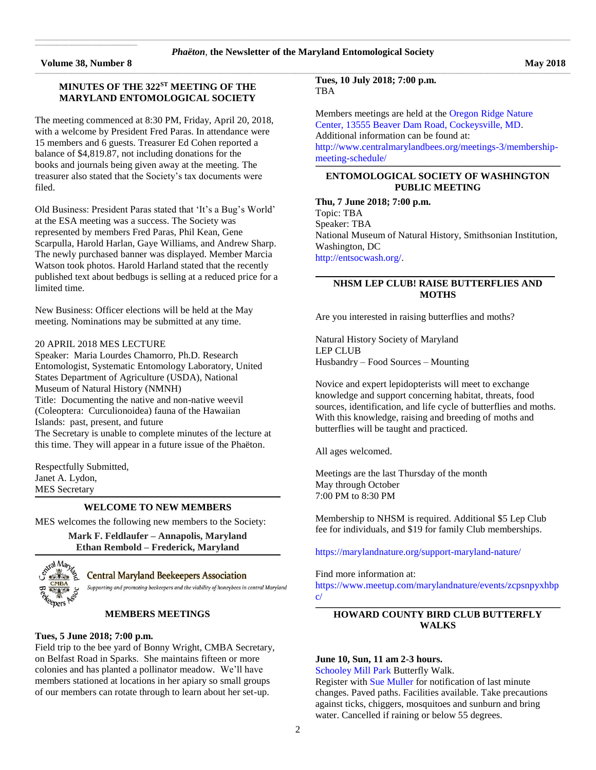**Volume 38, Number 8** May 2018

 $\mathcal{L}_\text{max}$  and  $\mathcal{L}_\text{max}$  and  $\mathcal{L}_\text{max}$  and  $\mathcal{L}_\text{max}$  and  $\mathcal{L}_\text{max}$ 

The meeting commenced at 8:30 PM, Friday, April 20, 2018, with a welcome by President Fred Paras. In attendance were 15 members and 6 guests. Treasurer Ed Cohen reported a balance of \$4,819.87, not including donations for the books and journals being given away at the meeting. The treasurer also stated that the Society's tax documents were filed.

Old Business: President Paras stated that 'It's a Bug's World' at the ESA meeting was a success. The Society was represented by members Fred Paras, Phil Kean, Gene Scarpulla, Harold Harlan, Gaye Williams, and Andrew Sharp. The newly purchased banner was displayed. Member Marcia Watson took photos. Harold Harland stated that the recently published text about bedbugs is selling at a reduced price for a limited time.

New Business: Officer elections will be held at the May meeting. Nominations may be submitted at any time.

#### 20 APRIL 2018 MES LECTURE

Speaker: Maria Lourdes Chamorro, Ph.D. Research Entomologist, Systematic Entomology Laboratory, United States Department of Agriculture (USDA), National Museum of Natural History (NMNH) Title: Documenting the native and non-native weevil (Coleoptera: Curculionoidea) fauna of the Hawaiian Islands: past, present, and future The Secretary is unable to complete minutes of the lecture at this time. They will appear in a future issue of the Phaëton.

Respectfully Submitted, Janet A. Lydon, MES Secretary

#### **\_\_\_\_\_\_\_\_\_\_\_\_\_\_\_\_\_\_\_\_\_\_\_\_\_\_\_\_\_\_\_\_\_\_\_\_\_\_\_\_\_\_\_\_\_\_\_\_\_\_\_\_\_\_\_\_\_\_\_\_\_\_\_\_\_\_\_\_\_\_\_\_\_\_\_\_\_\_\_\_\_\_\_\_\_\_\_\_\_\_\_\_\_\_\_\_\_\_\_\_\_\_\_\_\_\_\_\_\_\_\_\_\_\_\_\_\_\_\_\_\_\_\_\_\_\_\_\_\_\_\_\_\_\_\_\_\_\_\_\_\_\_\_\_\_\_\_\_\_\_\_\_\_\_\_\_\_\_\_\_\_\_\_\_\_\_\_\_ WELCOME TO NEW MEMBERS**

MES welcomes the following new members to the Society:

**Mark F. Feldlaufer – Annapolis, Maryland Ethan Rembold – Frederick, Maryland \_\_\_\_\_\_\_\_\_\_\_\_\_\_\_\_\_\_\_\_\_\_\_\_\_\_\_\_\_\_\_\_\_\_\_\_\_\_\_\_\_\_\_\_\_\_\_\_\_\_\_\_\_\_\_\_\_\_\_\_\_\_\_\_\_\_\_\_\_\_\_\_\_\_\_\_\_\_\_\_\_\_\_\_\_\_\_\_\_\_\_\_\_\_\_\_\_\_\_\_\_\_\_\_\_\_\_\_\_\_\_\_\_\_\_\_\_\_\_\_\_\_\_\_\_\_\_\_\_\_\_\_\_\_\_\_\_\_\_\_\_\_\_\_\_\_\_\_\_\_\_\_\_\_\_\_\_\_\_\_\_\_\_\_\_\_\_\_**



**Central Maryland Beekeepers Association** 

Supporting and promoting beekeepers and the viability of honeybees in central Maryland

#### **MEMBERS MEETINGS**

## **Tues, 5 June 2018; 7:00 p.m.**

Field trip to the bee yard of Bonny Wright, CMBA Secretary, on Belfast Road in Sparks. She maintains fifteen or more colonies and has planted a pollinator meadow. We'll have members stationed at locations in her apiary so small groups of our members can rotate through to learn about her set-up.

**Tues, 10 July 2018; 7:00 p.m. TBA** 

Members meetings are held at th[e Oregon Ridge Nature](https://www.google.com/maps/place/Oregon+Ridge+Nature+Center/@39.4970222,-76.6868097,15z/data=!4m2!3m1!1s0x0:0x9fbed14b2a0e98dd?sa=X&ved=0ahUKEwjkwILmv6jQAhXs6YMKHVsmDwgQ_BIIdDAK)  [Center, 13555 Beaver Dam Road, Cockeysville, MD.](https://www.google.com/maps/place/Oregon+Ridge+Nature+Center/@39.4970222,-76.6868097,15z/data=!4m2!3m1!1s0x0:0x9fbed14b2a0e98dd?sa=X&ved=0ahUKEwjkwILmv6jQAhXs6YMKHVsmDwgQ_BIIdDAK)  Additional information can be found at: [http://www.centralmarylandbees.org/meetings-3/membership](http://www.centralmarylandbees.org/meetings-3/membership-meeting-schedule/)[meeting-schedule/](http://www.centralmarylandbees.org/meetings-3/membership-meeting-schedule/)

#### **\_\_\_\_\_\_\_\_\_\_\_\_\_\_\_\_\_\_\_\_\_\_\_\_\_\_\_\_\_\_\_\_\_\_\_\_\_\_\_\_\_\_\_\_\_\_\_\_\_\_\_\_\_\_\_\_\_\_\_\_\_\_\_\_\_\_\_\_\_\_\_\_\_\_\_\_\_\_\_\_\_\_\_\_\_\_\_\_\_\_\_\_\_\_\_\_\_\_\_\_\_\_\_\_\_\_\_\_\_\_\_\_\_\_\_\_\_\_\_\_\_\_\_\_\_\_\_\_\_\_\_\_\_\_\_\_\_\_\_\_\_\_\_\_\_\_\_\_\_\_\_\_\_\_\_\_\_\_\_\_\_\_\_\_\_\_\_\_ ENTOMOLOGICAL SOCIETY OF WASHINGTON PUBLIC MEETING**

**Thu, 7 June 2018; 7:00 p.m.** Topic: TBA Speaker: TBA National Museum of Natural History, Smithsonian Institution, Washington, DC [http://entsocwash.org/.](http://entsocwash.org/)

# **NHSM LEP CLUB! RAISE BUTTERFLIES AND MOTHS**

Are you interested in raising butterflies and moths?

Natural History Society of Maryland LEP CLUB Husbandry – Food Sources – Mounting

Novice and expert lepidopterists will meet to exchange knowledge and support concerning habitat, threats, food sources, identification, and life cycle of butterflies and moths. With this knowledge, raising and breeding of moths and butterflies will be taught and practiced.

All ages welcomed.

Meetings are the last Thursday of the month May through October 7:00 PM to 8:30 PM

Membership to NHSM is required. Additional \$5 Lep Club fee for individuals, and \$19 for family Club memberships.

[https://marylandnature.org/support-maryland-nature/](https://d.docs.live.net/fc9dffb43a36b539/Phaeton/Are%20you%20interested%20in%20raising%20butterflies%20and%20moths?)

Find more information at:

[https://www.meetup.com/marylandnature/events/zcpsnpyxhbp](https://www.meetup.com/marylandnature/events/zcpsnpyxhbpc/) [c/](https://www.meetup.com/marylandnature/events/zcpsnpyxhbpc/)

#### **\_\_\_\_\_\_\_\_\_\_\_\_\_\_\_\_\_\_\_\_\_\_\_\_\_\_\_\_\_\_\_\_\_\_\_\_\_\_\_\_\_\_\_\_\_\_\_\_\_\_\_\_\_\_\_\_\_\_\_\_\_\_\_\_\_\_\_\_\_\_\_\_\_\_\_\_\_\_\_\_\_\_\_\_\_\_\_\_\_\_\_\_\_\_\_\_\_\_\_\_\_\_\_\_\_\_\_\_\_\_\_\_\_\_\_\_\_\_\_\_\_\_\_\_\_\_\_\_\_\_\_\_\_\_\_\_\_\_\_\_\_\_\_\_\_\_\_\_\_\_\_\_\_\_\_\_\_\_\_\_\_\_\_\_\_\_\_\_ HOWARD COUNTY BIRD CLUB BUTTERFLY WALKS**

#### **June 10, Sun, 11 am 2-3 hours.**

[Schooley Mill Park](http://www.howardbirds.org/birdinghowardcounty/SchooleyMill/schooley_mill_directions.htm) Butterfly Walk.

Register with [Sue Muller](mailto:smuller@howardcounty.md.gov?subject=Butterfly%20Walk) for notification of last minute changes. Paved paths. Facilities available. Take precautions against ticks, chiggers, mosquitoes and sunburn and bring water. Cancelled if raining or below 55 degrees.